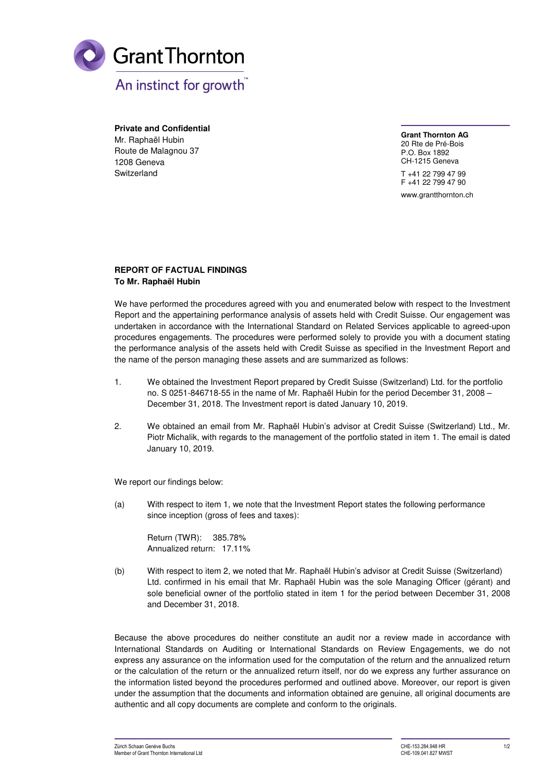

**Private and Confidential**  Mr. Raphaël Hubin Route de Malagnou 37 1208 Geneva Switzerland

**Grant Thornton AG** 20 Rte de Pré-Bois

P.O. Box 1892 CH-1215 Geneva T +41 22 799 47 99 F +41 22 799 47 90

www.grantthornton.ch

## **REPORT OF FACTUAL FINDINGS To Mr. Raphaël Hubin**

We have performed the procedures agreed with you and enumerated below with respect to the Investment Report and the appertaining performance analysis of assets held with Credit Suisse. Our engagement was undertaken in accordance with the International Standard on Related Services applicable to agreed-upon procedures engagements. The procedures were performed solely to provide you with a document stating the performance analysis of the assets held with Credit Suisse as specified in the Investment Report and the name of the person managing these assets and are summarized as follows:

- 1. We obtained the Investment Report prepared by Credit Suisse (Switzerland) Ltd. for the portfolio no. S 0251-846718-55 in the name of Mr. Raphaël Hubin for the period December 31, 2008 – December 31, 2018. The Investment report is dated January 10, 2019.
- 2. We obtained an email from Mr. Raphaël Hubin's advisor at Credit Suisse (Switzerland) Ltd., Mr. Piotr Michalik, with regards to the management of the portfolio stated in item 1. The email is dated January 10, 2019.

We report our findings below:

(a) With respect to item 1, we note that the Investment Report states the following performance since inception (gross of fees and taxes):

Return (TWR): 385.78% Annualized return: 17.11%

(b) With respect to item 2, we noted that Mr. Raphaël Hubin's advisor at Credit Suisse (Switzerland) Ltd. confirmed in his email that Mr. Raphaël Hubin was the sole Managing Officer (gérant) and sole beneficial owner of the portfolio stated in item 1 for the period between December 31, 2008 and December 31, 2018.

Because the above procedures do neither constitute an audit nor a review made in accordance with International Standards on Auditing or International Standards on Review Engagements, we do not express any assurance on the information used for the computation of the return and the annualized return or the calculation of the return or the annualized return itself, nor do we express any further assurance on the information listed beyond the procedures performed and outlined above. Moreover, our report is given under the assumption that the documents and information obtained are genuine, all original documents are authentic and all copy documents are complete and conform to the originals.